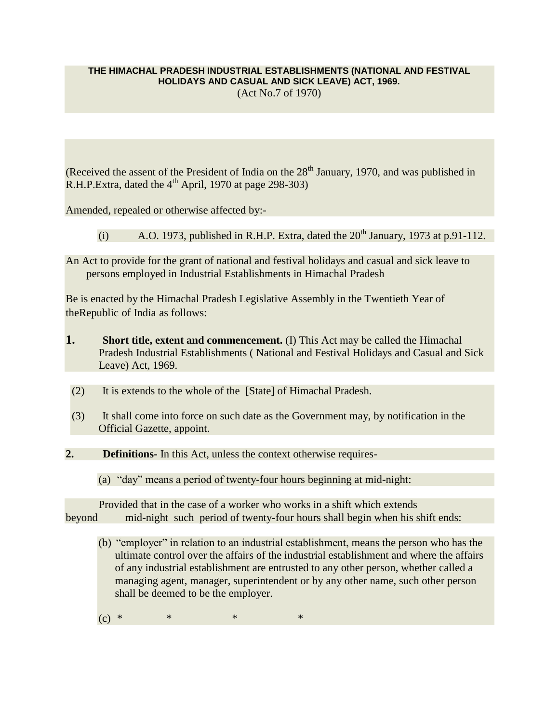### **THE HIMACHAL PRADESH INDUSTRIAL ESTABLISHMENTS (NATIONAL AND FESTIVAL**

**HOLIDAYS AND CASUAL AND SICK LEAVE) ACT, 1969.**

(Act No.7 of 1970)

(Received the assent of the President of India on the  $28<sup>th</sup>$  January, 1970, and was published in R.H.P.Extra, dated the  $4<sup>th</sup>$  April, 1970 at page 298-303)

Amended, repealed or otherwise affected by:-

- (i) A.O. 1973, published in R.H.P. Extra, dated the  $20<sup>th</sup>$  January, 1973 at p.91-112.
- An Act to provide for the grant of national and festival holidays and casual and sick leave to persons employed in Industrial Establishments in Himachal Pradesh

Be is enacted by the Himachal Pradesh Legislative Assembly in the Twentieth Year of theRepublic of India as follows:

- **1. Short title, extent and commencement.** (I) This Act may be called the Himachal Pradesh Industrial Establishments ( National and Festival Holidays and Casual and Sick Leave) Act, 1969.
- (2) It is extends to the whole of the [State] of Himachal Pradesh.
- (3) It shall come into force on such date as the Government may, by notification in the Official Gazette, appoint.
- **2. Definitions-** In this Act, unless the context otherwise requires-
	- (a) "day" means a period of twenty-four hours beginning at mid-night:

 Provided that in the case of a worker who works in a shift which extends beyond mid-night such period of twenty-four hours shall begin when his shift ends:

- (b) "employer" in relation to an industrial establishment, means the person who has the ultimate control over the affairs of the industrial establishment and where the affairs of any industrial establishment are entrusted to any other person, whether called a managing agent, manager, superintendent or by any other name, such other person shall be deemed to be the employer.
- (c) \* \* \* \* \* \*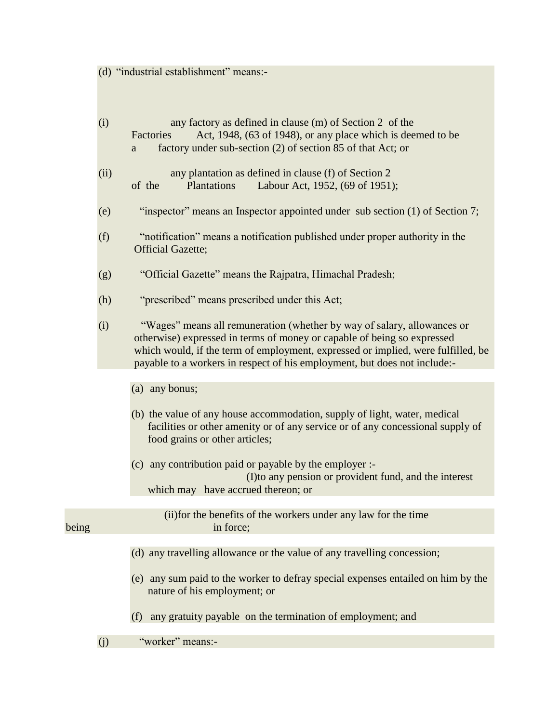(d) "industrial establishment" means:-

|       | (i)  | any factory as defined in clause (m) of Section 2 of the<br>Act, 1948, (63 of 1948), or any place which is deemed to be<br>Factories<br>factory under sub-section (2) of section 85 of that Act; or<br>a                                                                                                            |
|-------|------|---------------------------------------------------------------------------------------------------------------------------------------------------------------------------------------------------------------------------------------------------------------------------------------------------------------------|
|       | (ii) | any plantation as defined in clause (f) of Section 2<br>of the<br>Labour Act, 1952, (69 of 1951);<br>Plantations                                                                                                                                                                                                    |
|       | (e)  | "inspector" means an Inspector appointed under sub section (1) of Section 7;                                                                                                                                                                                                                                        |
|       | (f)  | "notification" means a notification published under proper authority in the<br><b>Official Gazette;</b>                                                                                                                                                                                                             |
|       | (g)  | "Official Gazette" means the Rajpatra, Himachal Pradesh;                                                                                                                                                                                                                                                            |
|       | (h)  | "prescribed" means prescribed under this Act;                                                                                                                                                                                                                                                                       |
|       | (i)  | "Wages" means all remuneration (whether by way of salary, allowances or<br>otherwise) expressed in terms of money or capable of being so expressed<br>which would, if the term of employment, expressed or implied, were fulfilled, be<br>payable to a workers in respect of his employment, but does not include:- |
|       |      |                                                                                                                                                                                                                                                                                                                     |
|       |      | (a) any bonus;                                                                                                                                                                                                                                                                                                      |
|       |      | (b) the value of any house accommodation, supply of light, water, medical<br>facilities or other amenity or of any service or of any concessional supply of<br>food grains or other articles;                                                                                                                       |
|       |      | (c) any contribution paid or payable by the employer :-<br>(I) to any pension or provident fund, and the interest<br>which may have accrued thereon; or                                                                                                                                                             |
| being |      | (ii) for the benefits of the workers under any law for the time<br>in force;                                                                                                                                                                                                                                        |
|       |      | (d) any travelling allowance or the value of any travelling concession;                                                                                                                                                                                                                                             |
|       |      |                                                                                                                                                                                                                                                                                                                     |
|       |      | (e) any sum paid to the worker to defray special expenses entailed on him by the<br>nature of his employment; or                                                                                                                                                                                                    |
|       |      | any gratuity payable on the termination of employment; and<br>(f)                                                                                                                                                                                                                                                   |
|       |      | "worker" means:-                                                                                                                                                                                                                                                                                                    |
|       | (j)  |                                                                                                                                                                                                                                                                                                                     |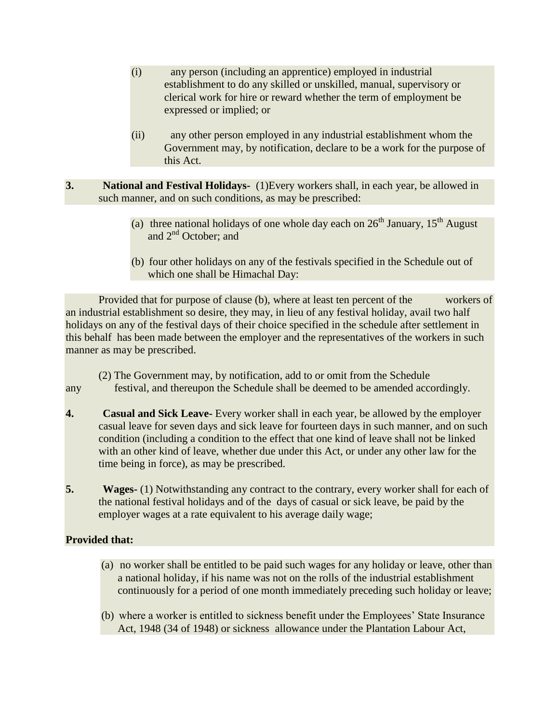- (i) any person (including an apprentice) employed in industrial establishment to do any skilled or unskilled, manual, supervisory or clerical work for hire or reward whether the term of employment be expressed or implied; or
- (ii) any other person employed in any industrial establishment whom the Government may, by notification, declare to be a work for the purpose of this Act.
- **3. National and Festival Holidays-** (1)Every workers shall, in each year, be allowed in such manner, and on such conditions, as may be prescribed:
	- (a) three national holidays of one whole day each on  $26<sup>th</sup>$  January,  $15<sup>th</sup>$  August and 2<sup>nd</sup> October; and
	- (b) four other holidays on any of the festivals specified in the Schedule out of which one shall be Himachal Day:

 Provided that for purpose of clause (b), where at least ten percent of the workers of an industrial establishment so desire, they may, in lieu of any festival holiday, avail two half holidays on any of the festival days of their choice specified in the schedule after settlement in this behalf has been made between the employer and the representatives of the workers in such manner as may be prescribed.

#### (2) The Government may, by notification, add to or omit from the Schedule any festival, and thereupon the Schedule shall be deemed to be amended accordingly.

- **4. Casual and Sick Leave-** Every worker shall in each year, be allowed by the employer casual leave for seven days and sick leave for fourteen days in such manner, and on such condition (including a condition to the effect that one kind of leave shall not be linked with an other kind of leave, whether due under this Act, or under any other law for the time being in force), as may be prescribed.
- **5. Wages-** (1) Notwithstanding any contract to the contrary, every worker shall for each of the national festival holidays and of the days of casual or sick leave, be paid by the employer wages at a rate equivalent to his average daily wage;

# **Provided that:**

- (a) no worker shall be entitled to be paid such wages for any holiday or leave, other than a national holiday, if his name was not on the rolls of the industrial establishment continuously for a period of one month immediately preceding such holiday or leave;
- (b) where a worker is entitled to sickness benefit under the Employees' State Insurance Act, 1948 (34 of 1948) or sickness allowance under the Plantation Labour Act,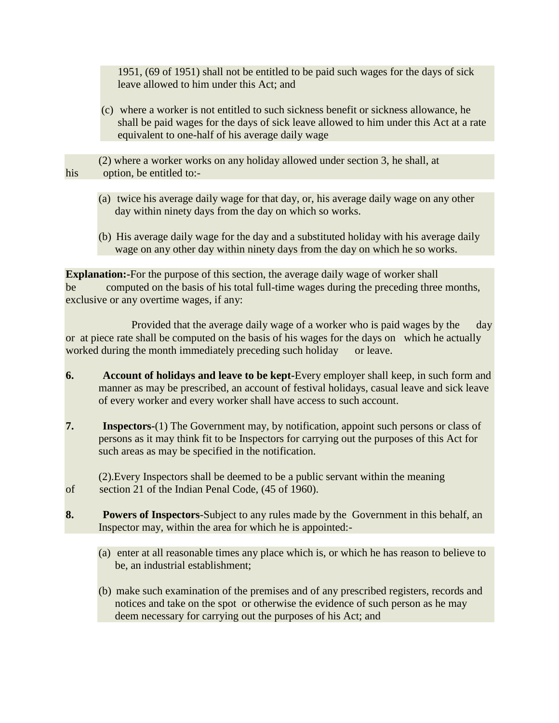1951, (69 of 1951) shall not be entitled to be paid such wages for the days of sick leave allowed to him under this Act; and

- (c) where a worker is not entitled to such sickness benefit or sickness allowance, he shall be paid wages for the days of sick leave allowed to him under this Act at a rate equivalent to one-half of his average daily wage
- (2) where a worker works on any holiday allowed under section 3, he shall, at his option, be entitled to:-
	- (a) twice his average daily wage for that day, or, his average daily wage on any other day within ninety days from the day on which so works.
	- (b) His average daily wage for the day and a substituted holiday with his average daily wage on any other day within ninety days from the day on which he so works.

**Explanation:**-For the purpose of this section, the average daily wage of worker shall be computed on the basis of his total full-time wages during the preceding three months, exclusive or any overtime wages, if any:

 Provided that the average daily wage of a worker who is paid wages by the day or at piece rate shall be computed on the basis of his wages for the days on which he actually worked during the month immediately preceding such holiday or leave.

- **6. Account of holidays and leave to be kept-**Every employer shall keep, in such form and manner as may be prescribed, an account of festival holidays, casual leave and sick leave of every worker and every worker shall have access to such account.
- **7. Inspectors-**(1) The Government may, by notification, appoint such persons or class of persons as it may think fit to be Inspectors for carrying out the purposes of this Act for such areas as may be specified in the notification.

(2).Every Inspectors shall be deemed to be a public servant within the meaning of section 21 of the Indian Penal Code, (45 of 1960).

- **8. Powers of Inspectors**-Subject to any rules made by the Government in this behalf, an Inspector may, within the area for which he is appointed:-
	- (a) enter at all reasonable times any place which is, or which he has reason to believe to be, an industrial establishment;
	- (b) make such examination of the premises and of any prescribed registers, records and notices and take on the spot or otherwise the evidence of such person as he may deem necessary for carrying out the purposes of his Act; and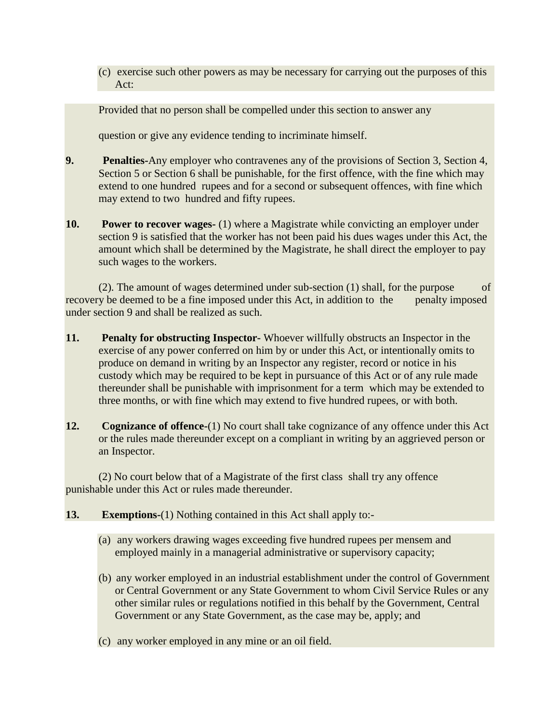(c) exercise such other powers as may be necessary for carrying out the purposes of this Act:

Provided that no person shall be compelled under this section to answer any

question or give any evidence tending to incriminate himself.

- **9. Penalties-**Any employer who contravenes any of the provisions of Section 3, Section 4, Section 5 or Section 6 shall be punishable, for the first offence, with the fine which may extend to one hundred rupees and for a second or subsequent offences, with fine which may extend to two hundred and fifty rupees.
- **10. Power to recover wages-** (1) where a Magistrate while convicting an employer under section 9 is satisfied that the worker has not been paid his dues wages under this Act, the amount which shall be determined by the Magistrate, he shall direct the employer to pay such wages to the workers.

 (2). The amount of wages determined under sub-section (1) shall, for the purpose of recovery be deemed to be a fine imposed under this Act, in addition to the penalty imposed under section 9 and shall be realized as such.

- **11. Penalty for obstructing Inspector-** Whoever willfully obstructs an Inspector in the exercise of any power conferred on him by or under this Act, or intentionally omits to produce on demand in writing by an Inspector any register, record or notice in his custody which may be required to be kept in pursuance of this Act or of any rule made thereunder shall be punishable with imprisonment for a term which may be extended to three months, or with fine which may extend to five hundred rupees, or with both.
- **12. Cognizance of offence-**(1) No court shall take cognizance of any offence under this Act or the rules made thereunder except on a compliant in writing by an aggrieved person or an Inspector.

(2) No court below that of a Magistrate of the first class shall try any offence punishable under this Act or rules made thereunder.

### **13. Exemptions-**(1) Nothing contained in this Act shall apply to:-

- (a) any workers drawing wages exceeding five hundred rupees per mensem and employed mainly in a managerial administrative or supervisory capacity;
- (b) any worker employed in an industrial establishment under the control of Government or Central Government or any State Government to whom Civil Service Rules or any other similar rules or regulations notified in this behalf by the Government, Central Government or any State Government, as the case may be, apply; and
- (c) any worker employed in any mine or an oil field.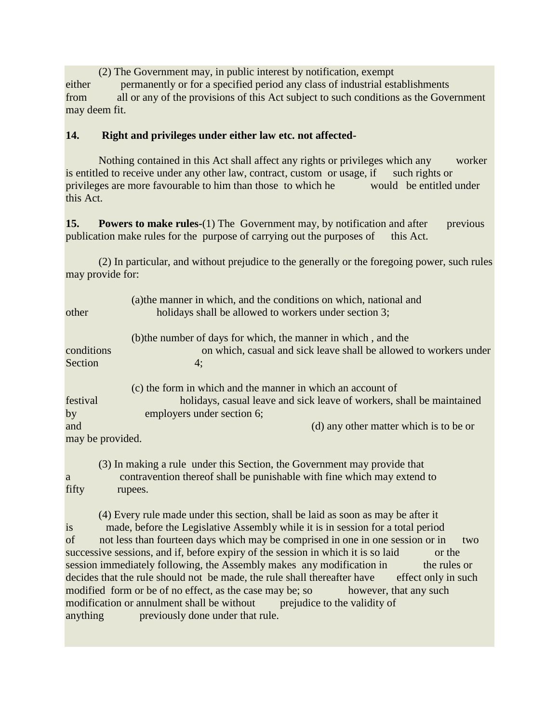(2) The Government may, in public interest by notification, exempt either permanently or for a specified period any class of industrial establishments from all or any of the provisions of this Act subject to such conditions as the Government may deem fit.

## **14. Right and privileges under either law etc. not affected-**

Nothing contained in this Act shall affect any rights or privileges which any worker is entitled to receive under any other law, contract, custom or usage, if such rights or privileges are more favourable to him than those to which he would be entitled under this Act.

**15. Powers to make rules-**(1) The Government may, by notification and after previous publication make rules for the purpose of carrying out the purposes of this Act.

 (2) In particular, and without prejudice to the generally or the foregoing power, such rules may provide for:

| other            | (a) the manner in which, and the conditions on which, national and<br>holidays shall be allowed to workers under section 3; |
|------------------|-----------------------------------------------------------------------------------------------------------------------------|
|                  | (b) the number of days for which, the manner in which, and the                                                              |
| conditions       | on which, casual and sick leave shall be allowed to workers under                                                           |
| Section          | 4:                                                                                                                          |
|                  | (c) the form in which and the manner in which an account of                                                                 |
| festival         | holidays, casual leave and sick leave of workers, shall be maintained                                                       |
| by               | employers under section 6;                                                                                                  |
| and              | (d) any other matter which is to be or                                                                                      |
| may be provided. |                                                                                                                             |

 (3) In making a rule under this Section, the Government may provide that a contravention thereof shall be punishable with fine which may extend to fifty rupees.

 (4) Every rule made under this section, shall be laid as soon as may be after it is made, before the Legislative Assembly while it is in session for a total period of not less than fourteen days which may be comprised in one in one session or in two successive sessions, and if, before expiry of the session in which it is so laid or the session immediately following, the Assembly makes any modification in the rules or decides that the rule should not be made, the rule shall thereafter have effect only in such modified form or be of no effect, as the case may be; so however, that any such modification or annulment shall be without prejudice to the validity of anything previously done under that rule.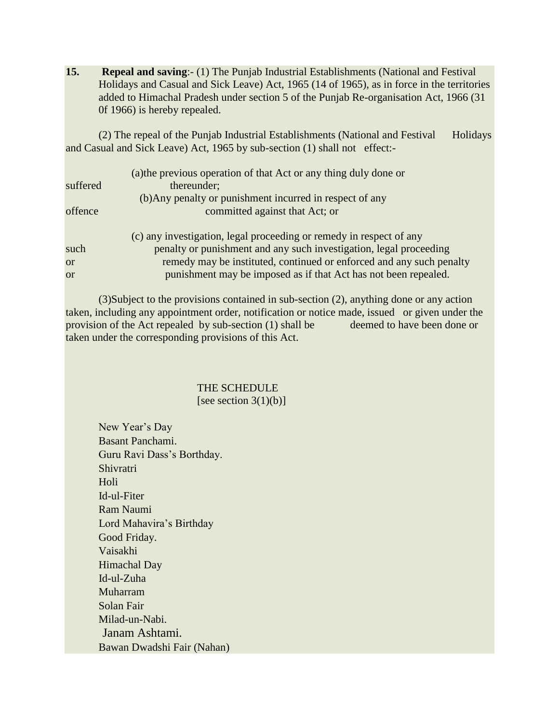**15. Repeal and saving**:- (1) The Punjab Industrial Establishments (National and Festival Holidays and Casual and Sick Leave) Act, 1965 (14 of 1965), as in force in the territories added to Himachal Pradesh under section 5 of the Punjab Re-organisation Act, 1966 (31 0f 1966) is hereby repealed.

(2) The repeal of the Punjab Industrial Establishments (National and Festival Holidays and Casual and Sick Leave) Act, 1965 by sub-section (1) shall not effect:-

|           | (a) the previous operation of that Act or any thing duly done or     |
|-----------|----------------------------------------------------------------------|
| suffered  | thereunder;                                                          |
|           | (b) Any penalty or punishment incurred in respect of any             |
| offence   | committed against that Act; or                                       |
|           | (c) any investigation, legal proceeding or remedy in respect of any  |
| such      | penalty or punishment and any such investigation, legal proceeding   |
| <b>or</b> | remedy may be instituted, continued or enforced and any such penalty |
| $\alpha$  | punishment may be imposed as if that Act has not been repealed.      |

 (3)Subject to the provisions contained in sub-section (2), anything done or any action taken, including any appointment order, notification or notice made, issued or given under the provision of the Act repealed by sub-section (1) shall be deemed to have been done or taken under the corresponding provisions of this Act.

#### THE SCHEDULE [see section  $3(1)(b)$ ]

New Year's Day Basant Panchami. Guru Ravi Dass's Borthday. Shivratri Holi Id-ul-Fiter Ram Naumi Lord Mahavira's Birthday Good Friday. Vaisakhi Himachal Day Id-ul-Zuha Muharram Solan Fair Milad-un-Nabi. Janam Ashtami. Bawan Dwadshi Fair (Nahan)